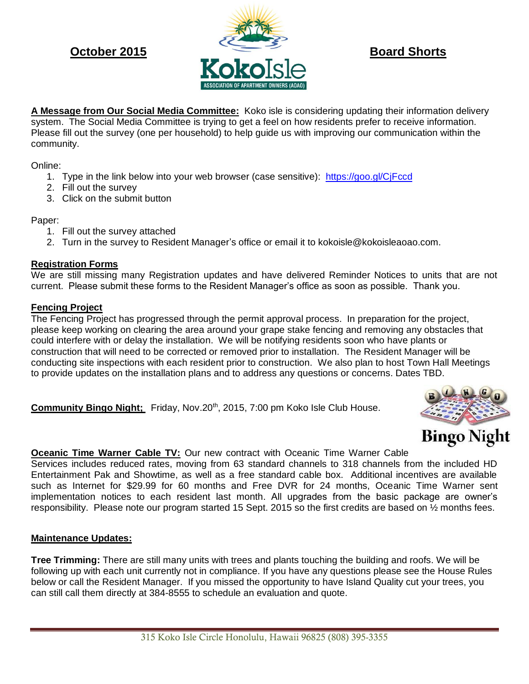

**A Message from Our Social Media Committee:** Koko isle is considering updating their information delivery system. The Social Media Committee is trying to get a feel on how residents prefer to receive information. Please fill out the survey (one per household) to help guide us with improving our communication within the community.

Online:

- 1. Type in the link below into your web browser (case sensitive): <https://goo.gl/CjFccd>
- 2. Fill out the survey
- 3. Click on the submit button

Paper:

- 1. Fill out the survey attached
- 2. Turn in the survey to Resident Manager's office or email it to kokoisle@kokoisleaoao.com.

## **Registration Forms**

We are still missing many Registration updates and have delivered Reminder Notices to units that are not current. Please submit these forms to the Resident Manager's office as soon as possible. Thank you.

## **Fencing Project**

The Fencing Project has progressed through the permit approval process. In preparation for the project, please keep working on clearing the area around your grape stake fencing and removing any obstacles that could interfere with or delay the installation. We will be notifying residents soon who have plants or construction that will need to be corrected or removed prior to installation. The Resident Manager will be conducting site inspections with each resident prior to construction. We also plan to host Town Hall Meetings to provide updates on the installation plans and to address any questions or concerns. Dates TBD.

Community Bingo Night: Friday, Nov.20<sup>th</sup>, 2015, 7:00 pm Koko Isle Club House.



# **Oceanic Time Warner Cable TV:** Our new contract with Oceanic Time Warner Cable

Services includes reduced rates, moving from 63 standard channels to 318 channels from the included HD Entertainment Pak and Showtime, as well as a free standard cable box. Additional incentives are available such as Internet for \$29.99 for 60 months and Free DVR for 24 months, Oceanic Time Warner sent implementation notices to each resident last month. All upgrades from the basic package are owner's responsibility. Please note our program started 15 Sept. 2015 so the first credits are based on ½ months fees.

## **Maintenance Updates:**

**Tree Trimming:** There are still many units with trees and plants touching the building and roofs. We will be following up with each unit currently not in compliance. If you have any questions please see the House Rules below or call the Resident Manager. If you missed the opportunity to have Island Quality cut your trees, you can still call them directly at 384-8555 to schedule an evaluation and quote.